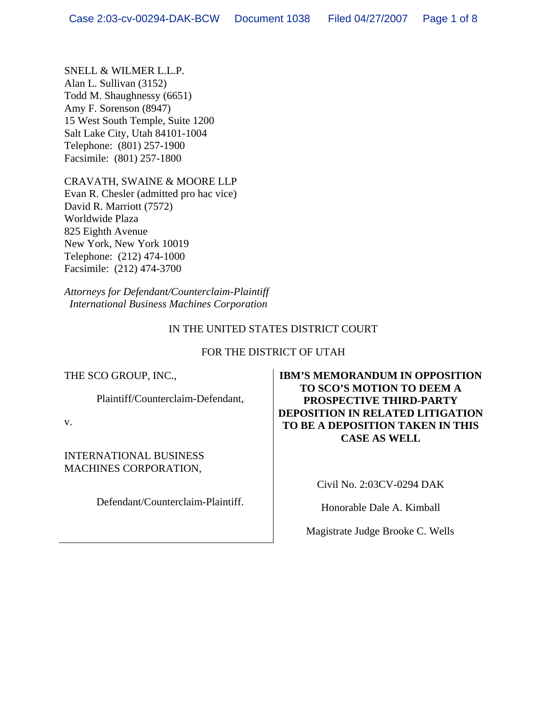SNELL & WILMER L.L.P. Alan L. Sullivan (3152) Todd M. Shaughnessy (6651) Amy F. Sorenson (8947) 15 West South Temple, Suite 1200 Salt Lake City, Utah 84101-1004 Telephone: (801) 257-1900 Facsimile: (801) 257-1800

CRAVATH, SWAINE & MOORE LLP Evan R. Chesler (admitted pro hac vice) David R. Marriott (7572) Worldwide Plaza 825 Eighth Avenue New York, New York 10019 Telephone: (212) 474-1000 Facsimile: (212) 474-3700

*Attorneys for Defendant/Counterclaim-Plaintiff International Business Machines Corporation*

# IN THE UNITED STATES DISTRICT COURT

### FOR THE DISTRICT OF UTAH

THE SCO GROUP, INC.,

Plaintiff/Counterclaim-Defendant,

v.

INTERNATIONAL BUSINESS MACHINES CORPORATION,

Defendant/Counterclaim-Plaintiff.

**IBM'S MEMORANDUM IN OPPOSITION TO SCO'S MOTION TO DEEM A PROSPECTIVE THIRD-PARTY DEPOSITION IN RELATED LITIGATION TO BE A DEPOSITION TAKEN IN THIS CASE AS WELL** 

Civil No. 2:03CV-0294 DAK

Honorable Dale A. Kimball

Magistrate Judge Brooke C. Wells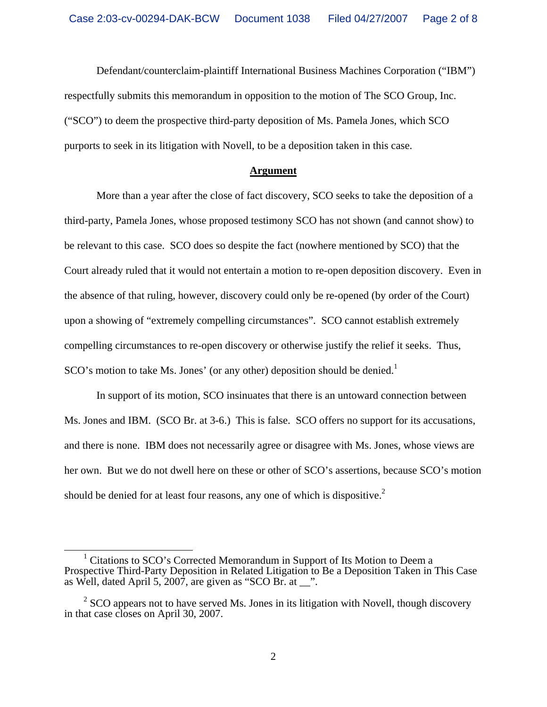Defendant/counterclaim-plaintiff International Business Machines Corporation ("IBM") respectfully submits this memorandum in opposition to the motion of The SCO Group, Inc. ("SCO") to deem the prospective third-party deposition of Ms. Pamela Jones, which SCO purports to seek in its litigation with Novell, to be a deposition taken in this case.

#### **Argument**

 More than a year after the close of fact discovery, SCO seeks to take the deposition of a third-party, Pamela Jones, whose proposed testimony SCO has not shown (and cannot show) to be relevant to this case. SCO does so despite the fact (nowhere mentioned by SCO) that the Court already ruled that it would not entertain a motion to re-open deposition discovery. Even in the absence of that ruling, however, discovery could only be re-opened (by order of the Court) upon a showing of "extremely compelling circumstances". SCO cannot establish extremely compelling circumstances to re-open discovery or otherwise justify the relief it seeks. Thus,  $SCO's$  motion to take Ms. Jones' (or any other) deposition should be denied.<sup>1</sup>

 In support of its motion, SCO insinuates that there is an untoward connection between Ms. Jones and IBM. (SCO Br. at 3-6.) This is false. SCO offers no support for its accusations, and there is none. IBM does not necessarily agree or disagree with Ms. Jones, whose views are her own. But we do not dwell here on these or other of SCO's assertions, because SCO's motion should be denied for at least four reasons, any one of which is dispositive.<sup>2</sup>

 $\frac{1}{1}$  $1$  Citations to SCO's Corrected Memorandum in Support of Its Motion to Deem a Prospective Third-Party Deposition in Related Litigation to Be a Deposition Taken in This Case as Well, dated April 5, 2007, are given as "SCO Br. at  $\ddot{ }$ ".

 $2^{2}$  SCO appears not to have served Ms. Jones in its litigation with Novell, though discovery in that case closes on April 30, 2007.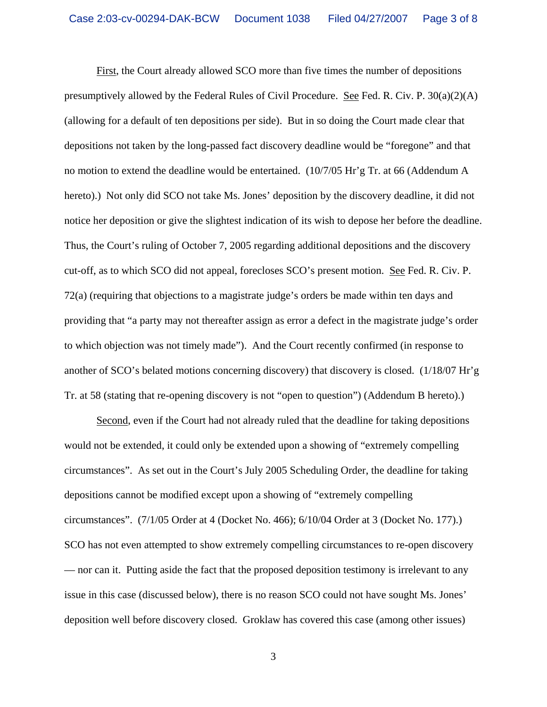First, the Court already allowed SCO more than five times the number of depositions presumptively allowed by the Federal Rules of Civil Procedure. See Fed. R. Civ. P. 30(a)(2)(A) (allowing for a default of ten depositions per side). But in so doing the Court made clear that depositions not taken by the long-passed fact discovery deadline would be "foregone" and that no motion to extend the deadline would be entertained. (10/7/05 Hr'g Tr. at 66 (Addendum A hereto).) Not only did SCO not take Ms. Jones' deposition by the discovery deadline, it did not notice her deposition or give the slightest indication of its wish to depose her before the deadline. Thus, the Court's ruling of October 7, 2005 regarding additional depositions and the discovery cut-off, as to which SCO did not appeal, forecloses SCO's present motion. See Fed. R. Civ. P. 72(a) (requiring that objections to a magistrate judge's orders be made within ten days and providing that "a party may not thereafter assign as error a defect in the magistrate judge's order to which objection was not timely made"). And the Court recently confirmed (in response to another of SCO's belated motions concerning discovery) that discovery is closed. (1/18/07 Hr'g Tr. at 58 (stating that re-opening discovery is not "open to question") (Addendum B hereto).)

Second, even if the Court had not already ruled that the deadline for taking depositions would not be extended, it could only be extended upon a showing of "extremely compelling circumstances". As set out in the Court's July 2005 Scheduling Order, the deadline for taking depositions cannot be modified except upon a showing of "extremely compelling circumstances". (7/1/05 Order at 4 (Docket No. 466); 6/10/04 Order at 3 (Docket No. 177).) SCO has not even attempted to show extremely compelling circumstances to re-open discovery — nor can it. Putting aside the fact that the proposed deposition testimony is irrelevant to any issue in this case (discussed below), there is no reason SCO could not have sought Ms. Jones' deposition well before discovery closed. Groklaw has covered this case (among other issues)

3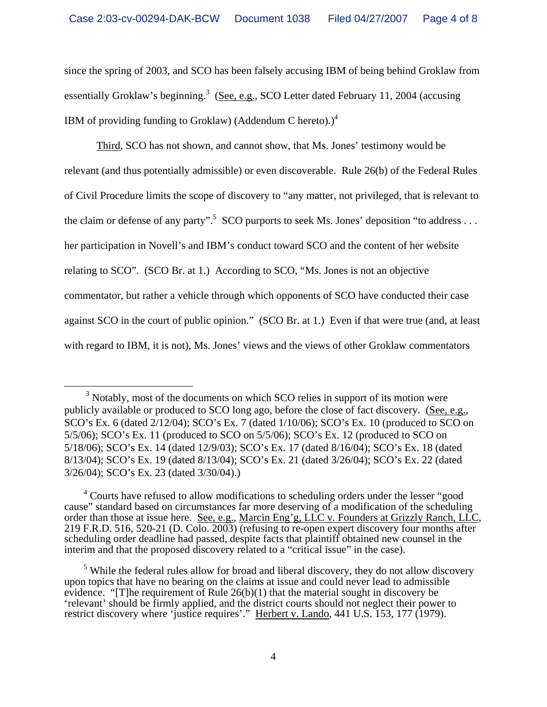since the spring of 2003, and SCO has been falsely accusing IBM of being behind Groklaw from essentially Groklaw's beginning.<sup>3</sup> (See, e.g., SCO Letter dated February 11, 2004 (accusing IBM of providing funding to Groklaw) (Addendum C hereto).) $<sup>4</sup>$ </sup>

 Third, SCO has not shown, and cannot show, that Ms. Jones' testimony would be relevant (and thus potentially admissible) or even discoverable. Rule 26(b) of the Federal Rules of Civil Procedure limits the scope of discovery to "any matter, not privileged, that is relevant to the claim or defense of any party".<sup>5</sup> SCO purports to seek Ms. Jones' deposition "to address ... her participation in Novell's and IBM's conduct toward SCO and the content of her website relating to SCO". (SCO Br. at 1.) According to SCO, "Ms. Jones is not an objective commentator, but rather a vehicle through which opponents of SCO have conducted their case against SCO in the court of public opinion." (SCO Br. at 1.) Even if that were true (and, at least with regard to IBM, it is not), Ms. Jones' views and the views of other Groklaw commentators

<sup>&</sup>lt;sup>3</sup> Notably, most of the documents on which SCO relies in support of its motion were publicly available or produced to SCO long ago, before the close of fact discovery. (See, e.g., SCO's Ex. 6 (dated 2/12/04); SCO's Ex. 7 (dated 1/10/06); SCO's Ex. 10 (produced to SCO on 5/5/06); SCO's Ex. 11 (produced to SCO on 5/5/06); SCO's Ex. 12 (produced to SCO on 5/18/06); SCO's Ex. 14 (dated 12/9/03); SCO's Ex. 17 (dated 8/16/04); SCO's Ex. 18 (dated 8/13/04); SCO's Ex. 19 (dated 8/13/04); SCO's Ex. 21 (dated 3/26/04); SCO's Ex. 22 (dated 3/26/04); SCO's Ex. 23 (dated 3/30/04).)

<sup>&</sup>lt;sup>4</sup> Courts have refused to allow modifications to scheduling orders under the lesser "good cause" standard based on circumstances far more deserving of a modification of the scheduling order than those at issue here. See, e.g., Marcin Eng'g, LLC v. Founders at Grizzly Ranch, LLC, 219 F.R.D. 516, 520-21 (D. Colo. 2003) (refusing to re-open expert discovery four months after scheduling order deadline had passed, despite facts that plaintiff obtained new counsel in the interim and that the proposed discovery related to a "critical issue" in the case).

<sup>&</sup>lt;sup>5</sup> While the federal rules allow for broad and liberal discovery, they do not allow discovery upon topics that have no bearing on the claims at issue and could never lead to admissible evidence. "[T]he requirement of Rule 26(b)(1) that the material sought in discovery be 'relevant' should be firmly applied, and the district courts should not neglect their power to restrict discovery where 'justice requires'." Herbert v. Lando, 441 U.S. 153, 177 (1979).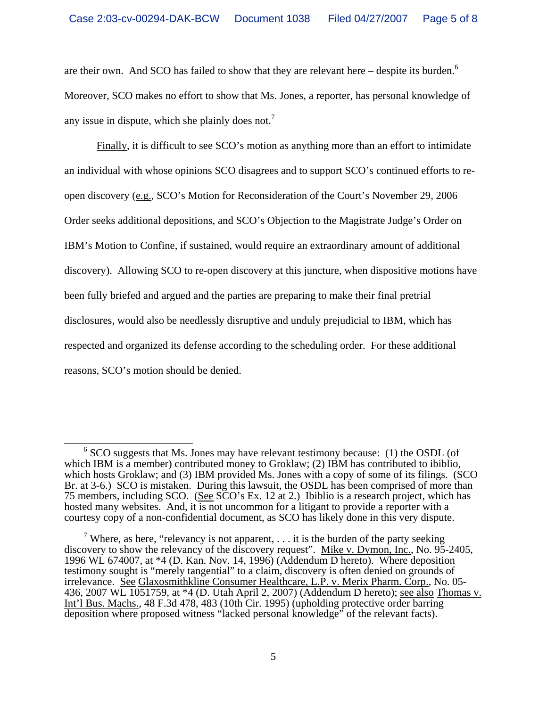are their own. And SCO has failed to show that they are relevant here  $-$  despite its burden.<sup>6</sup> Moreover, SCO makes no effort to show that Ms. Jones, a reporter, has personal knowledge of any issue in dispute, which she plainly does not.<sup>7</sup>

 Finally, it is difficult to see SCO's motion as anything more than an effort to intimidate an individual with whose opinions SCO disagrees and to support SCO's continued efforts to reopen discovery (e.g., SCO's Motion for Reconsideration of the Court's November 29, 2006 Order seeks additional depositions, and SCO's Objection to the Magistrate Judge's Order on IBM's Motion to Confine, if sustained, would require an extraordinary amount of additional discovery). Allowing SCO to re-open discovery at this juncture, when dispositive motions have been fully briefed and argued and the parties are preparing to make their final pretrial disclosures, would also be needlessly disruptive and unduly prejudicial to IBM, which has respected and organized its defense according to the scheduling order. For these additional reasons, SCO's motion should be denied.

 $\frac{1}{6}$  $6$  SCO suggests that Ms. Jones may have relevant testimony because: (1) the OSDL (of which IBM is a member) contributed money to Groklaw; (2) IBM has contributed to ibiblio, which hosts Groklaw; and (3) IBM provided Ms. Jones with a copy of some of its filings. (SCO Br. at 3-6.) SCO is mistaken. During this lawsuit, the OSDL has been comprised of more than 75 members, including SCO. (See SCO's Ex. 12 at 2.) Ibiblio is a research project, which has hosted many websites. And, it is not uncommon for a litigant to provide a reporter with a courtesy copy of a non-confidential document, as SCO has likely done in this very dispute.

<sup>&</sup>lt;sup>7</sup> Where, as here, "relevancy is not apparent,  $\dots$  it is the burden of the party seeking discovery to show the relevancy of the discovery request". Mike v. Dymon, Inc., No. 95-2405, 1996 WL 674007, at \*4 (D. Kan. Nov. 14, 1996) (Addendum D hereto). Where deposition testimony sought is "merely tangential" to a claim, discovery is often denied on grounds of irrelevance. See Glaxosmithkline Consumer Healthcare, L.P. v. Merix Pharm. Corp., No. 05- 436, 2007 WL 1051759, at \*4 (D. Utah April 2, 2007) (Addendum D hereto); see also Thomas v. Int'l Bus. Machs., 48 F.3d 478, 483 (10th Cir. 1995) (upholding protective order barring deposition where proposed witness "lacked personal knowledge" of the relevant facts).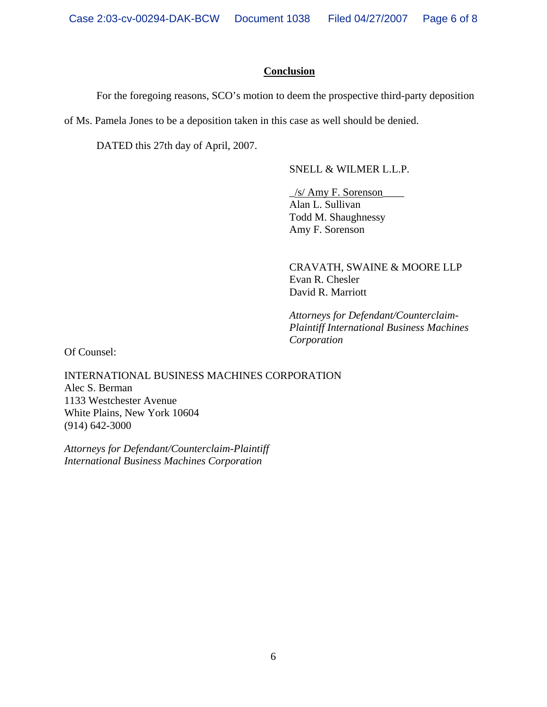## **Conclusion**

For the foregoing reasons, SCO's motion to deem the prospective third-party deposition

of Ms. Pamela Jones to be a deposition taken in this case as well should be denied.

DATED this 27th day of April, 2007.

SNELL & WILMER L.L.P.

 $\frac{1}{s}$  Amy F. Sorenson Alan L. Sullivan Todd M. Shaughnessy Amy F. Sorenson

 CRAVATH, SWAINE & MOORE LLP Evan R. Chesler David R. Marriott

 *Attorneys for Defendant/Counterclaim- Plaintiff International Business Machines Corporation* 

Of Counsel:

INTERNATIONAL BUSINESS MACHINES CORPORATION Alec S. Berman 1133 Westchester Avenue White Plains, New York 10604 (914) 642-3000

*Attorneys for Defendant/Counterclaim-Plaintiff International Business Machines Corporation*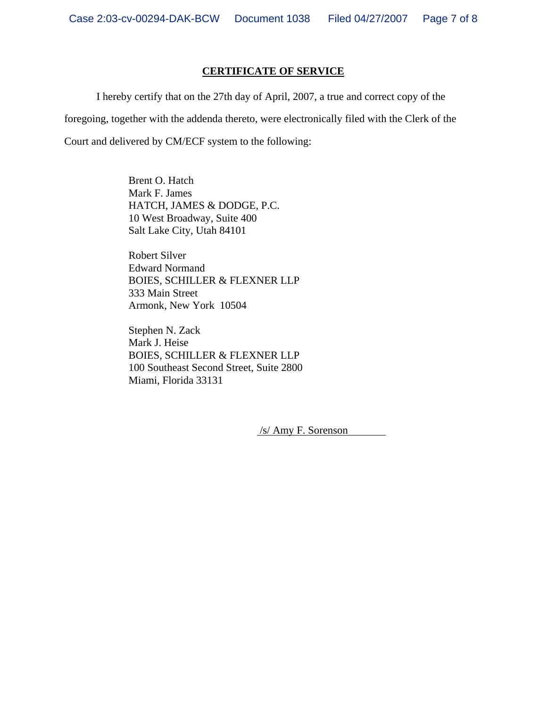#### **CERTIFICATE OF SERVICE**

 I hereby certify that on the 27th day of April, 2007, a true and correct copy of the foregoing, together with the addenda thereto, were electronically filed with the Clerk of the Court and delivered by CM/ECF system to the following:

> Brent O. Hatch Mark F. James HATCH, JAMES & DODGE, P.C. 10 West Broadway, Suite 400 Salt Lake City, Utah 84101

Robert Silver Edward Normand BOIES, SCHILLER & FLEXNER LLP 333 Main Street Armonk, New York 10504

Stephen N. Zack Mark J. Heise BOIES, SCHILLER & FLEXNER LLP 100 Southeast Second Street, Suite 2800 Miami, Florida 33131

/s/ Amy F. Sorenson